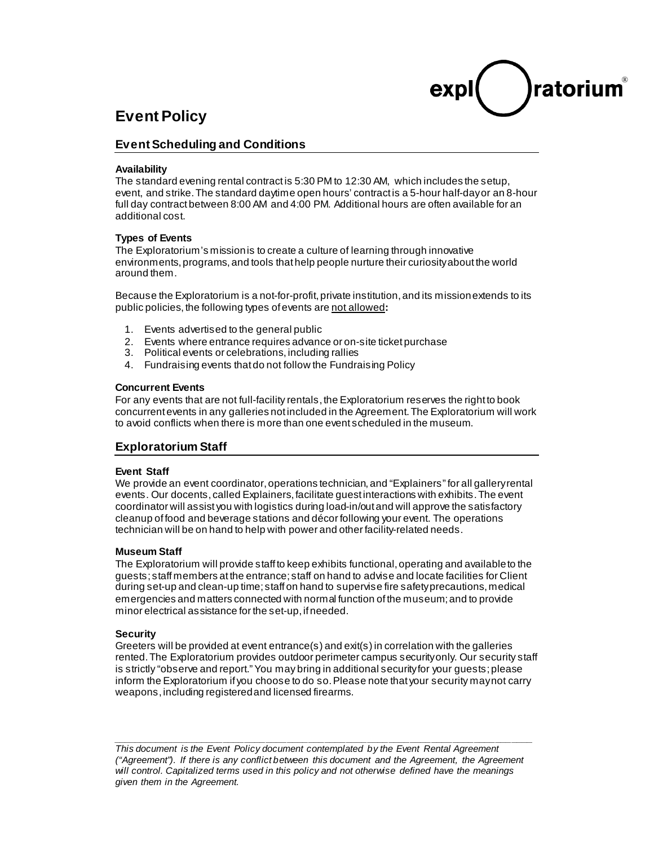# ratoriur

## **Event Policy**

#### **Event Scheduling and Conditions**

#### **Availability**

The standard evening rental contract is 5:30 PM to 12:30 AM, which includes the setup, event, and strike. The standard daytime open hours' contract is a 5-hour half-dayor an 8-hour full day contract between 8:00 AM and 4:00 PM. Additional hours are often available for an additional cost.

#### **Types of Events**

The Exploratorium's mission is to create a culture of learning through innovative environments, programs, and tools that help people nurture their curiosity about the world around them.

Because the Exploratorium is a not-for-profit, private institution, and its mission extends to its public policies, the following types of events are not allowed**:**

- 1. Events advertised to the general public
- 2. Events where entrance requires advance or on-site ticket purchase
- 3. Political events or celebrations, including rallies
- 4. Fundraising events that do not follow the Fundraising Policy

#### **Concurrent Events**

For any events that are not full-facility rentals, the Exploratorium reserves the right to book concurrent events in any galleries not included in the Agreement. The Exploratorium will work to avoid conflicts when there is more than one event scheduled in the museum.

#### **Exploratorium Staff**

#### **Event Staff**

We provide an event coordinator, operations technician, and "Explainers" for all gallery rental events. Our docents, called Explainers, facilitate guest interactions with exhibits. The event coordinator will assist you with logistics during load-in/outand will approve the satisfactory cleanup of food and beverage stations and décor following your event. The operations technician will be on hand to help with power and other facility-related needs.

#### **Museum Staff**

The Exploratorium will provide staff to keep exhibits functional, operating and available to the guests; staff members at the entrance; staff on hand to advise and locate facilities for Client during set-up and clean-up time; staff on hand to supervise fire safety precautions, medical emergencies and matters connected with normal function of the museum; and to provide minor electrical assistance for the set-up, if needed.

#### **Security**

Greeters will be provided at event entrance(s) and exit(s) in correlation with the galleries rented.The Exploratorium provides outdoor perimeter campus security only. Our security staff is strictly "observe and report." You may bring in additional security for your guests; please inform the Exploratorium if you choose to do so. Please note that your security may not carry weapons, including registered and licensed firearms.

*\_\_\_\_\_\_\_\_\_\_\_\_\_\_\_\_\_\_\_\_\_\_\_\_\_\_\_\_\_\_\_\_\_\_\_\_\_\_\_\_\_\_\_\_\_\_\_\_\_\_\_\_\_\_\_\_\_\_\_\_\_\_\_\_\_\_\_\_\_\_\_\_\_\_\_\_\_\_\_ This document is the Event Policy document contemplated by the Event Rental Agreement ("Agreement"). If there is any conflict between this document and the Agreement, the Agreement will control. Capitalized terms used in this policy and not otherwise defined have the meanings given them in the Agreement.*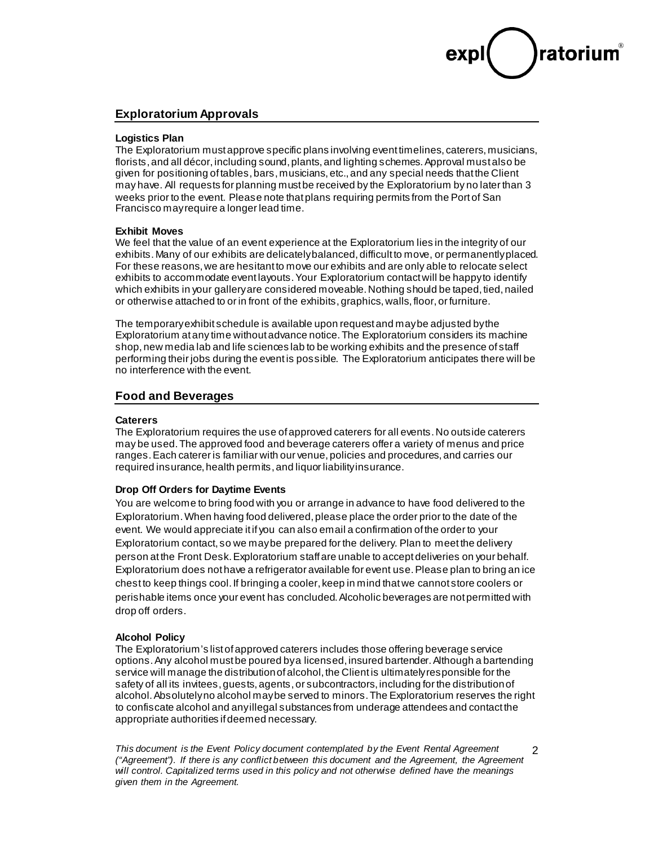## ratoriu

2

#### **Exploratorium Approvals**

#### **Logistics Plan**

The Exploratorium must approve specific plans involving event timelines, caterers, musicians, florists, and all décor, including sound, plants, and lighting schemes. Approval must also be given for positioning of tables, bars, musicians, etc., and any special needs that the Client may have. All requests for planning must be received by the Exploratorium by no later than 3 weeks prior to the event. Please note that plans requiring permits from the Port of San Francisco may require a longer lead time.

#### **Exhibit Moves**

We feel that the value of an event experience at the Exploratorium lies in the integrity of our exhibits. Many of our exhibits are delicately balanced, difficult to move, or permanently placed. For these reasons, we are hesitant to move our exhibits and are only able to relocate select exhibits to accommodate event layouts. Your Exploratorium contact will be happy to identify which exhibits in your gallery are considered moveable. Nothing should be taped, tied, nailed or otherwise attached to or in front of the exhibits, graphics, walls, floor, or furniture.

The temporary exhibit schedule is available upon request and may be adjusted by the Exploratorium at any time without advance notice. The Exploratorium considers its machine shop, new media lab and life sciences lab to be working exhibits and the presence of staff performing their jobs during the event is possible. The Exploratorium anticipates there will be no interference with the event.

#### **Food and Beverages**

#### **Caterers**

The Exploratorium requires the use of approved caterers for all events. No outside caterers may be used. The approved food and beverage caterers offer a variety of menus and price ranges. Each caterer is familiar with our venue, policies and procedures, and carries our required insurance, health permits, and liquor liability insurance.

#### **Drop Off Orders for Daytime Events**

You are welcome to bring food with you or arrange in advance to have food delivered to the Exploratorium. When having food delivered, please place the order prior to the date of the event. We would appreciate it if you can also email a confirmation of the order to your Exploratorium contact, so we may be prepared for the delivery. Plan to meet the delivery person at the Front Desk. Exploratorium staff are unable to accept deliveries on your behalf. Exploratorium does not have a refrigerator available for event use. Please plan to bring an ice chest to keep things cool. If bringing a cooler, keep in mind that we cannot store coolers or perishable items once your event has concluded. Alcoholic beverages are not permitted with drop off orders.

#### **Alcohol Policy**

The Exploratorium's list of approved caterers includes those offering beverage service options. Any alcohol must be poured by a licensed, insured bartender. Although a bartending service will manage the distribution of alcohol, the Client is ultimately responsible for the safety of all its invitees, guests, agents, or subcontractors, including for the distribution of alcohol. Absolutely no alcohol may be served to minors. The Exploratorium reserves the right to confiscate alcohol and any illegal substances from underage attendees and contact the appropriate authorities if deemed necessary.

*This document is the Event Policy document contemplated by the Event Rental Agreement ("Agreement"). If there is any conflict between this document and the Agreement, the Agreement will control. Capitalized terms used in this policy and not otherwise defined have the meanings given them in the Agreement.*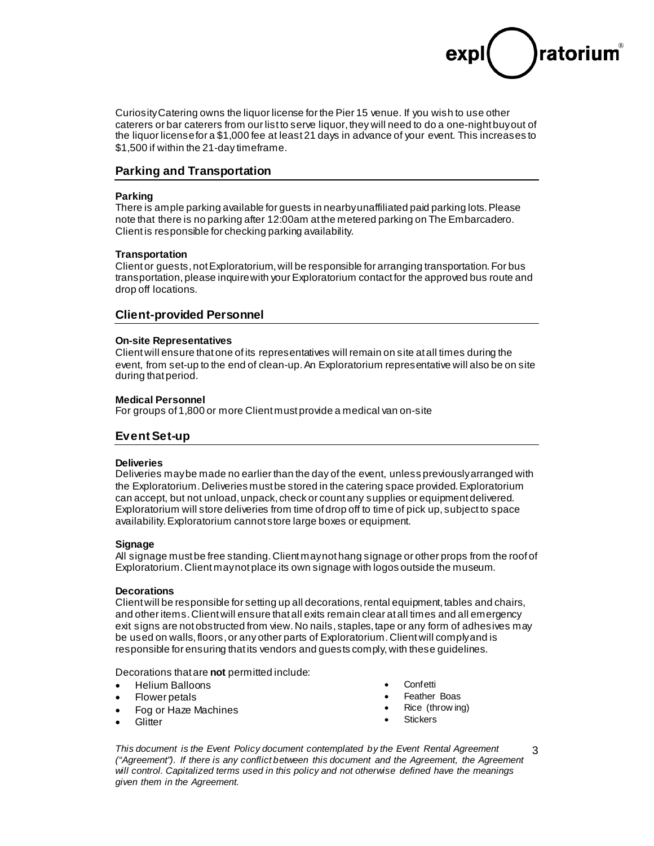

Curiosity Catering owns the liquor license for the Pier 15 venue. If you wish to use other caterers or bar caterers from our list to serve liquor, they will need to do a one-night buy out of the liquor license for a \$1,000 fee at least 21 days in advance of your event. This increases to \$1,500 if within the 21-day timeframe.

#### **Parking and Transportation**

#### **Parking**

There is ample parking available for guests in nearby unaffiliated paid parking lots. Please note that there is no parking after 12:00am at the metered parking on The Embarcadero. Client is responsible for checking parking availability.

#### **Transportation**

Client or guests, not Exploratorium, will be responsible for arranging transportation.For bus transportation, please inquire with your Exploratorium contact for the approved bus route and drop off locations.

#### **Client-provided Personnel**

#### **On-site Representatives**

Clientwill ensure that one of its representatives will remain on site at all times during the event, from set-up to the end of clean-up. An Exploratorium representative will also be on site during that period.

#### **Medical Personnel**

For groups of 1,800 or more Client must provide a medical van on-site

#### **Event Set-up**

#### **Deliveries**

Deliveries may be made no earlier than the day of the event, unless previously arranged with the Exploratorium. Deliveries must be stored in the catering space provided. Exploratorium can accept, but not unload, unpack, check or count any supplies or equipment delivered. Exploratorium will store deliveries from time of drop off to time of pick up, subject to space availability. Exploratorium cannot store large boxes or equipment.

#### **Signage**

All signage must be free standing. Client may not hang signage or other props from the roof of Exploratorium. Client may not place its own signage with logos outside the museum.

#### **Decorations**

Clientwill be responsible for setting up all decorations, rental equipment, tables and chairs, and other items. Clientwill ensure that all exits remain clear at all times and all emergency exit signs are not obstructed from view. No nails, staples, tape or any form of adhesives may be used on walls, floors, or any other parts of Exploratorium.Clientwill complyand is responsible for ensuring that its vendors and guests comply,with these guidelines.

Decorations that are **not** permitted include:

- Helium Balloons
- Flower petals
- Fog or Haze Machines
- **Glitter**
- Confetti
- Feather Boas
- Rice (throw ing)
- **Stickers**

*This document is the Event Policy document contemplated by the Event Rental Agreement ("Agreement"). If there is any conflict between this document and the Agreement, the Agreement will control. Capitalized terms used in this policy and not otherwise defined have the meanings given them in the Agreement.*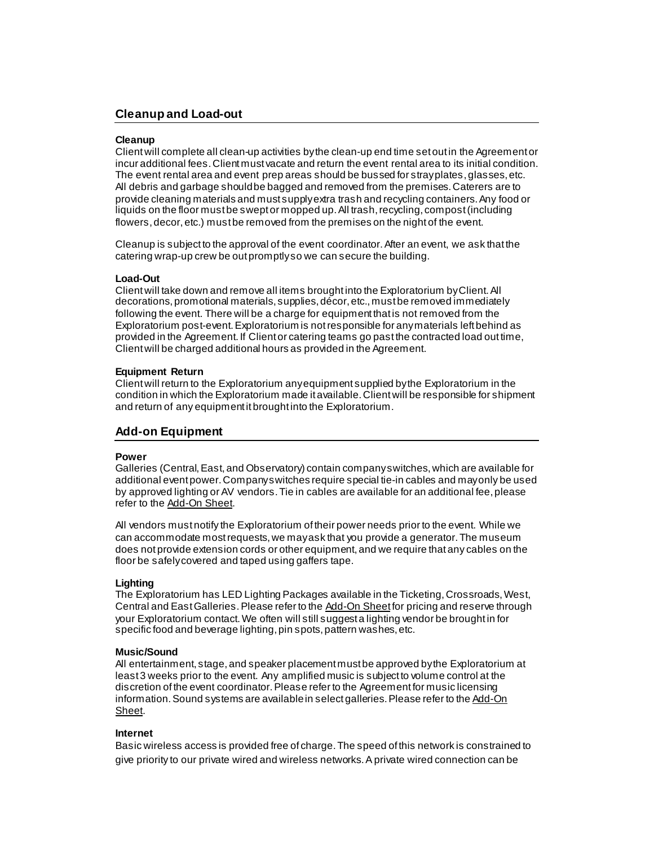#### **Cleanup and Load-out**

#### **Cleanup**

Clientwill complete all clean-up activities by the clean-up end time set out in the Agreement or incur additional fees. Client must vacate and return the event rental area to its initial condition. The event rental area and event prep areas should be bussed for stray plates, glasses, etc. All debris and garbage should be bagged and removed from the premises. Caterers are to provide cleaning materials and must supply extra trash and recycling containers. Any food or liquids on the floor must be swept or mopped up. All trash, recycling, compost (including flowers, decor, etc.) must be removed from the premises on the night of the event.

Cleanup is subject to the approval of the event coordinator. After an event, we ask that the catering wrap-up crew be out promptly so we can secure the building.

#### **Load-Out**

Clientwill take down and remove all items brought into the Exploratorium by Client.All decorations, promotional materials, supplies, décor, etc., must be removed immediately following the event. There will be a charge for equipment that is not removed from the Exploratorium post-event. Exploratorium is not responsible for any materials left behind as provided in the Agreement. If Client or catering teams go past the contracted load out time, Clientwill be charged additional hours as provided in the Agreement.

#### **Equipment Return**

Clientwill return to the Exploratorium any equipment supplied by the Exploratorium in the condition in which the Exploratorium made it available. Clientwill be responsible for shipment and return of any equipment it brought into the Exploratorium.

#### **Add-on Equipment**

#### **Power**

Galleries (Central, East, and Observatory) contain company switches, which are available for additional event power. Company switches require special tie-in cables and may only be used by approved lighting or AV vendors. Tie in cables are available for an additional fee, please refer to the Add-On Sheet.

All vendors must notify the Exploratorium oftheir power needs prior to the event. While we can accommodate most requests, we may ask that you provide a generator. The museum does not provide extension cords or other equipment, and we require that any cables on the floor be safely covered and taped using gaffers tape.

#### **Lighting**

The Exploratorium has LED Lighting Packages available in the Ticketing, Crossroads, West, Central and East Galleries. Please refer to the Add-On Sheet for pricing and reserve through your Exploratorium contact. We often will still suggest a lighting vendor be brought in for specific food and beverage lighting, pin spots, pattern washes, etc.

#### **Music/Sound**

All entertainment, stage, and speaker placement must be approved by the Exploratorium at least 3 weeks prior to the event. Any amplified music is subject to volume control at the discretion of the event coordinator.Please refer to the Agreement for music licensing information. Sound systems are available in select galleries. Please refer to the Add-On Sheet.

#### **Internet**

Basic wireless access is provided free of charge. The speed of this network is constrained to give priority to our private wired and wireless networks. A private wired connection can be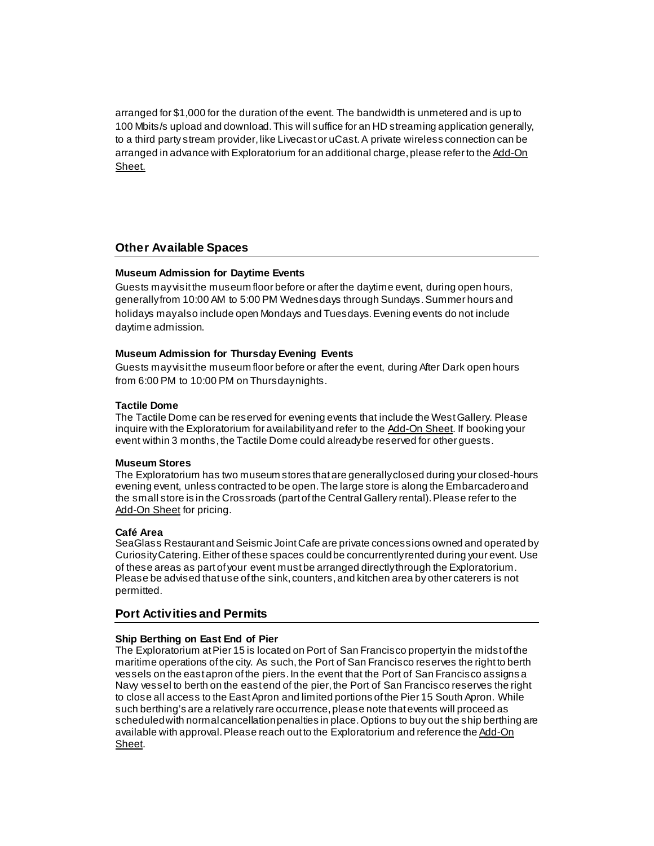arranged for \$1,000 for the duration of the event. The bandwidth is unmetered and is up to 100 Mbits/s upload and download. This will suffice for an HD streaming application generally, to a third party stream provider, like Livecast or uCast. A private wireless connection can be arranged in advance with Exploratorium for an additional charge, please refer to the Add-On Sheet.

#### **Other Available Spaces**

#### **Museum Admission for Daytime Events**

Guests may visit the museum floor before or after the daytime event, during open hours, generally from 10:00 AM to 5:00 PM Wednesdays through Sundays. Summer hours and holidays may also include open Mondays and Tuesdays. Evening events do not include daytime admission.

#### **Museum Admission for Thursday Evening Events**

Guests may visit the museum floor before or after the event, during After Dark open hours from 6:00 PM to 10:00 PM on Thursday nights.

#### **Tactile Dome**

The Tactile Dome can be reserved for evening events that include the West Gallery. Please inquire with the Exploratorium for availability and refer to the Add-On Sheet. If booking your event within 3 months, the Tactile Dome could already be reserved for other guests.

#### **Museum Stores**

The Exploratorium has two museum stores that are generallyclosed during your closed-hours evening event, unless contracted to be open. The large store is along the Embarcadero and the small store is in the Crossroads (part of the Central Gallery rental). Please refer to the Add-On Sheet for pricing.

#### **Café Area**

SeaGlass Restaurant and Seismic Joint Cafe are private concessions owned and operated by Curiosity Catering. Either of these spaces could be concurrently rented during your event. Use of these areas as part of your event must be arranged directly through the Exploratorium. Please be advised that use of the sink, counters, and kitchen area by other caterers is not permitted.

#### **Port Activities and Permits**

#### **Ship Berthing on East End of Pier**

The Exploratorium at Pier 15 is located on Port of San Francisco property in the midst of the maritime operations of the city. As such, the Port of San Francisco reserves the right to berth vessels on the east apron of the piers. In the event that the Port of San Francisco assigns a Navy vessel to berth on the east end of the pier, the Port of San Francisco reserves the right to close all access to the East Apron and limited portions of the Pier 15 South Apron. While such berthing's are a relatively rare occurrence, please note that events will proceed as scheduled with normal cancellation penalties in place. Options to buy out the ship berthing are available with approval. Please reach out to the Exploratorium and reference the Add-On Sheet.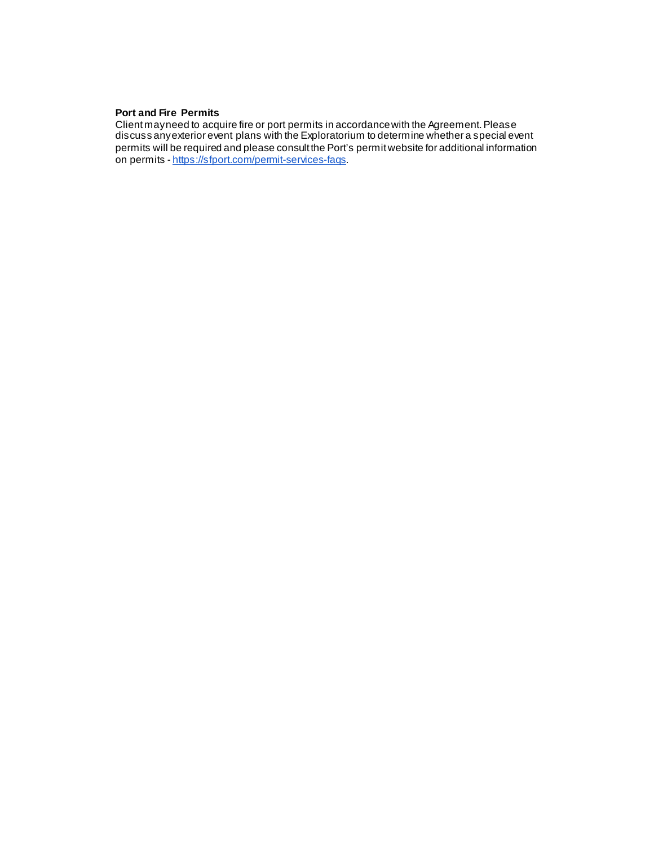#### **Port and Fire Permits**

Client may need to acquire fire or port permits in accordance with the Agreement. Please discuss any exterior event plans with the Exploratorium to determine whether a special event permits will be required and please consult the Port's permit website for additional information on permits - <u><https://sfport.com/permit-services-faqs></u>.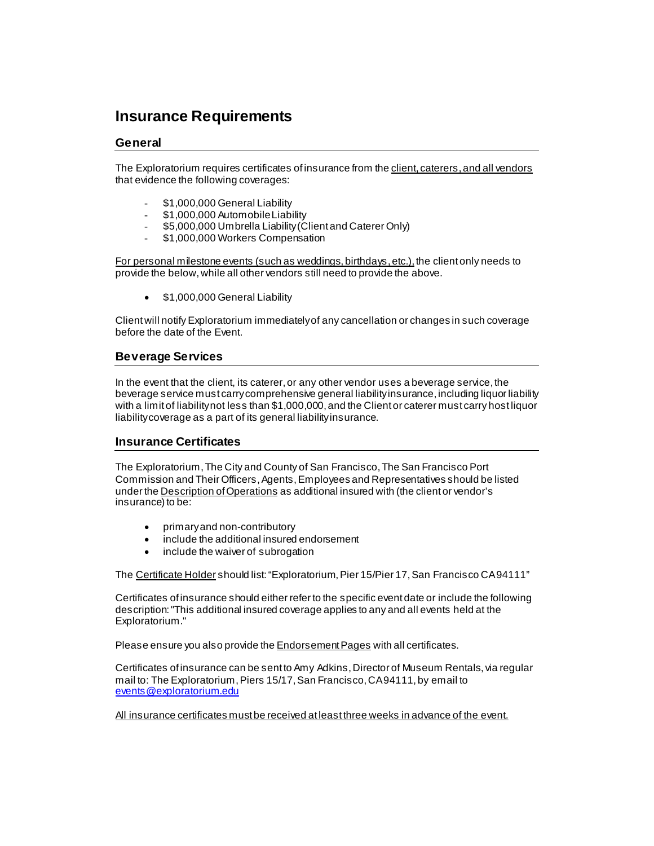### **Insurance Requirements**

#### **General**

The Exploratorium requires certificates of insurance from the client, caterers, and all vendors that evidence the following coverages:

- \$1,000,000 General Liability
- \$1,000,000 Automobile Liability
- \$5,000,000 Umbrella Liability (Client and Caterer Only)
- \$1,000,000 Workers Compensation

For personal milestone events (such as weddings, birthdays, etc.), the client only needs to provide the below, while all other vendors still need to provide the above.

• \$1,000,000 General Liability

Clientwill notify Exploratorium immediately of any cancellation or changes in such coverage before the date of the Event.

#### **Beverage Services**

In the event that the client, its caterer, or any other vendor uses a beverage service, the beverage service must carry comprehensive general liability insurance, including liquor liability with a limit of liability not less than \$1,000,000, and the Client or caterer must carry host liquor liability coverage as a part of its general liability insurance.

#### **Insurance Certificates**

The Exploratorium, The City and County of San Francisco, The San Francisco Port Commission and Their Officers, Agents, Employees and Representatives should be listed under the Description of Operations as additional insured with (the client or vendor's insurance) to be:

- primary and non-contributory
- include the additional insured endorsement
- include the waiver of subrogation

The Certificate Holder should list: "Exploratorium, Pier 15/Pier 17, San Francisco CA 94111"

Certificates of insurance should either refer to the specific event date or include the following description: "This additional insured coverage applies to any and all events held at the Exploratorium."

Please ensure you also provide the **Endorsement Pages** with all certificates.

Certificates of insurance can be sent to Amy Adkins, Director of Museum Rentals, via regular mail to: The Exploratorium, Piers 15/17, San Francisco, CA 94111, by email to [events@exploratorium.edu](mailto:events@exploratorium.edu)

All insurance certificates must be received at least three weeks in advance of the event.